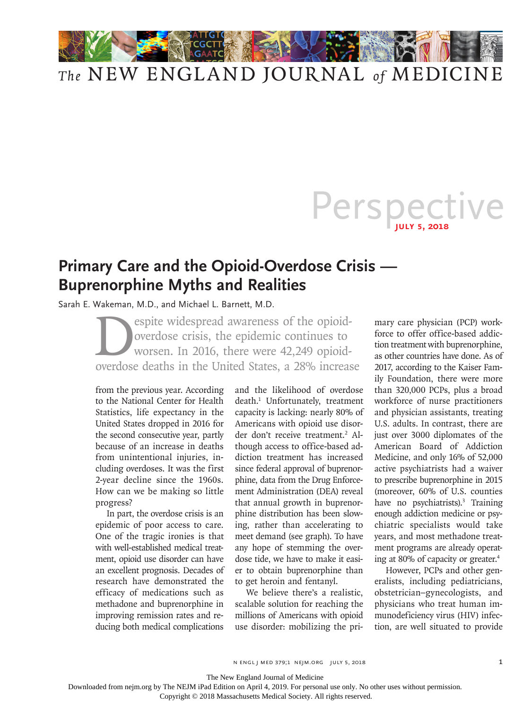

## *The* NEW ENGLAND JOURNAL *of* MEDICINE

## Perspective

## **Primary Care and the Opioid-Overdose Crisis — Buprenorphine Myths and Realities**

Sarah E. Wakeman, M.D., and Michael L. Barnett, M.D.

espite widespread awareness of the opioid-<br>overdose crisis, the epidemic continues to<br>worsen. In 2016, there were 42,249 opioid-<br>overdose deaths in the United States. a 28% increas overdose crisis, the epidemic continues to worsen. In 2016, there were 42,249 opioidoverdose deaths in the United States, a 28% increase

from the previous year. According to the National Center for Health Statistics, life expectancy in the United States dropped in 2016 for the second consecutive year, partly because of an increase in deaths from unintentional injuries, including overdoses. It was the first 2-year decline since the 1960s. How can we be making so little progress?

In part, the overdose crisis is an epidemic of poor access to care. One of the tragic ironies is that with well-established medical treatment, opioid use disorder can have an excellent prognosis. Decades of research have demonstrated the efficacy of medications such as methadone and buprenorphine in improving remission rates and reducing both medical complications

and the likelihood of overdose death.1 Unfortunately, treatment capacity is lacking: nearly 80% of Americans with opioid use disorder don't receive treatment.<sup>2</sup> Although access to office-based addiction treatment has increased since federal approval of buprenorphine, data from the Drug Enforcement Administration (DEA) reveal that annual growth in buprenorphine distribution has been slowing, rather than accelerating to meet demand (see graph). To have any hope of stemming the overdose tide, we have to make it easier to obtain buprenorphine than to get heroin and fentanyl.

We believe there's a realistic, scalable solution for reaching the millions of Americans with opioid use disorder: mobilizing the pri-

mary care physician (PCP) workforce to offer office-based addiction treatment with buprenorphine, as other countries have done. As of 2017, according to the Kaiser Family Foundation, there were more than 320,000 PCPs, plus a broad workforce of nurse practitioners and physician assistants, treating U.S. adults. In contrast, there are just over 3000 diplomates of the American Board of Addiction Medicine, and only 16% of 52,000 active psychiatrists had a waiver to prescribe buprenorphine in 2015 (moreover, 60% of U.S. counties have no psychiatrists).<sup>3</sup> Training enough addiction medicine or psychiatric specialists would take years, and most methadone treatment programs are already operating at 80% of capacity or greater.<sup>4</sup>

However, PCPs and other generalists, including pediatricians, obstetrician–gynecologists, and physicians who treat human immunodeficiency virus (HIV) infection, are well situated to provide

N ENGL J MED 379;1 NEJM.ORG JULY 5, 2018

The New England Journal of Medicine

Downloaded from nejm.org by The NEJM iPad Edition on April 4, 2019. For personal use only. No other uses without permission.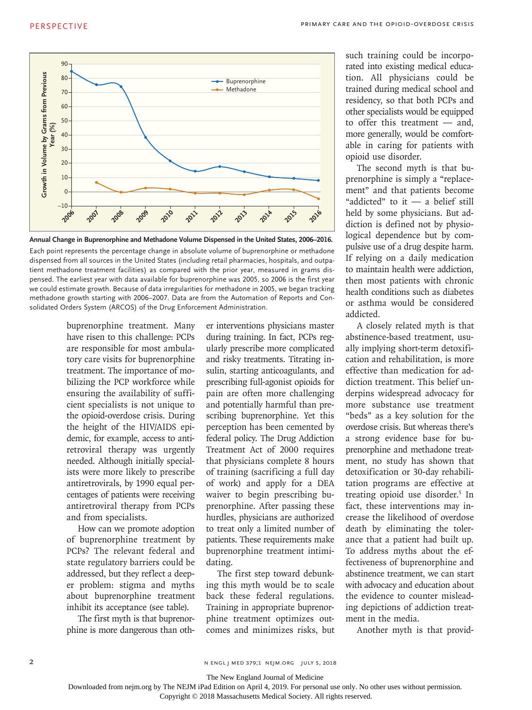

**Annual Change in Buprenorphine and Methadone Volume Dispensed in the United States, 2006–2016.** Each point represents the percentage change in absolute volume of buprenorphine or methadone dispensed from all sources in the United States (including retail pharmacies, hospitals, and outpatient methadone treatment facilities) as compared with the prior year, measured in grams dispensed. The earliest year with data available for buprenorphine was 2005, so 2006 is the first year we could estimate growth. Because of data irregularities for methadone in 2005, we began tracking methadone growth starting with 2006–2007. Data are from the Automation of Reports and Con-

buprenorphine treatment. Many have risen to this challenge: PCPs are responsible for most ambulatory care visits for buprenorphine treatment. The importance of mobilizing the PCP workforce while ensuring the availability of sufficient specialists is not unique to the opioid-overdose crisis. During the height of the HIV/AIDS epidemic, for example, access to antiretroviral therapy was urgently needed. Although initially specialists were more likely to prescribe antiretrovirals, by 1990 equal percentages of patients were receiving antiretroviral therapy from PCPs and from specialists.

How can we promote adoption of buprenorphine treatment by PCPs? The relevant federal and state regulatory barriers could be addressed, but they reflect a deeper problem: stigma and myths about buprenorphine treatment inhibit its acceptance (see table).

The first myth is that buprenorphine is more dangerous than other interventions physicians master during training. In fact, PCPs regularly prescribe more complicated and risky treatments. Titrating insulin, starting anticoagulants, and prescribing full-agonist opioids for pain are often more challenging and potentially harmful than prescribing buprenorphine. Yet this perception has been cemented by federal policy. The Drug Addiction Treatment Act of 2000 requires that physicians complete 8 hours of training (sacrificing a full day of work) and apply for a DEA waiver to begin prescribing buprenorphine. After passing these hurdles, physicians are authorized to treat only a limited number of patients. These requirements make buprenorphine treatment intimidating.

The first step toward debunking this myth would be to scale back these federal regulations. Training in appropriate buprenorphine treatment optimizes outcomes and minimizes risks, but such training could be incorporated into existing medical education. All physicians could be trained during medical school and residency, so that both PCPs and other specialists would be equipped to offer this treatment — and, more generally, would be comfortable in caring for patients with opioid use disorder.

The second myth is that buprenorphine is simply a "replacement" and that patients become "addicted" to it — a belief still held by some physicians. But addiction is defined not by physiological dependence but by compulsive use of a drug despite harm. If relying on a daily medication to maintain health were addiction, then most patients with chronic health conditions such as diabetes or asthma would be considered addicted.

A closely related myth is that abstinence-based treatment, usually implying short-term detoxification and rehabilitation, is more effective than medication for addiction treatment. This belief underpins widespread advocacy for more substance use treatment "beds" as a key solution for the overdose crisis. But whereas there's a strong evidence base for buprenorphine and methadone treatment, no study has shown that detoxification or 30-day rehabilitation programs are effective at treating opioid use disorder.<sup>5</sup> In fact, these interventions may increase the likelihood of overdose death by eliminating the tolerance that a patient had built up. To address myths about the effectiveness of buprenorphine and abstinence treatment, we can start with advocacy and education about the evidence to counter misleading depictions of addiction treatment in the media.

Another myth is that provid-

The New England Journal of Medicine

Downloaded from nejm.org by The NEJM iPad Edition on April 4, 2019. For personal use only. No other uses without permission.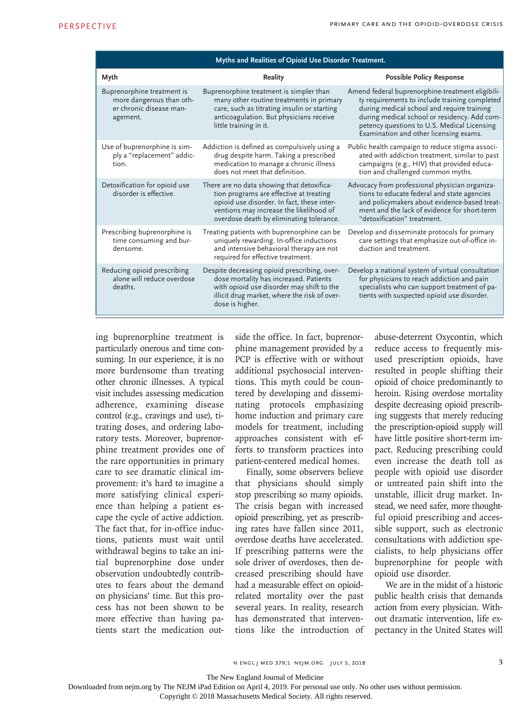| Myths and Realities of Opioid Use Disorder Treatment.                                         |                                                                                                                                                                                                                            |                                                                                                                                                                                                                                                                                          |
|-----------------------------------------------------------------------------------------------|----------------------------------------------------------------------------------------------------------------------------------------------------------------------------------------------------------------------------|------------------------------------------------------------------------------------------------------------------------------------------------------------------------------------------------------------------------------------------------------------------------------------------|
| Myth                                                                                          | Reality                                                                                                                                                                                                                    | <b>Possible Policy Response</b>                                                                                                                                                                                                                                                          |
| Buprenorphine treatment is<br>more dangerous than oth-<br>er chronic disease man-<br>agement. | Buprenorphine treatment is simpler than<br>many other routine treatments in primary<br>care, such as titrating insulin or starting<br>anticoagulation. But physicians receive<br>little training in it.                    | Amend federal buprenorphine-treatment eligibili-<br>ty requirements to include training completed<br>during medical school and require training<br>during medical school or residency. Add com-<br>petency questions to U.S. Medical Licensing<br>Examination and other licensing exams. |
| Use of buprenorphine is sim-<br>ply a "replacement" addic-<br>tion.                           | Addiction is defined as compulsively using a<br>drug despite harm. Taking a prescribed<br>medication to manage a chronic illness<br>does not meet that definition.                                                         | Public health campaign to reduce stigma associ-<br>ated with addiction treatment, similar to past<br>campaigns (e.g., HIV) that provided educa-<br>tion and challenged common myths.                                                                                                     |
| Detoxification for opioid use<br>disorder is effective.                                       | There are no data showing that detoxifica-<br>tion programs are effective at treating<br>opioid use disorder. In fact, these inter-<br>ventions may increase the likelihood of<br>overdose death by eliminating tolerance. | Advocacy from professional physician organiza-<br>tions to educate federal and state agencies<br>and policymakers about evidence-based treat-<br>ment and the lack of evidence for short-term<br>"detoxification" treatment.                                                             |
| Prescribing buprenorphine is<br>time consuming and bur-<br>densome.                           | Treating patients with buprenorphine can be<br>uniquely rewarding. In-office inductions<br>and intensive behavioral therapy are not<br>required for effective treatment.                                                   | Develop and disseminate protocols for primary<br>care settings that emphasize out-of-office in-<br>duction and treatment.                                                                                                                                                                |
| Reducing opioid prescribing<br>alone will reduce overdose<br>deaths.                          | Despite decreasing opioid prescribing, over-<br>dose mortality has increased. Patients<br>with opioid use disorder may shift to the<br>illicit drug market, where the risk of over-<br>dose is higher.                     | Develop a national system of virtual consultation<br>for physicians to reach addiction and pain<br>specialists who can support treatment of pa-<br>tients with suspected opioid use disorder.                                                                                            |

ing buprenorphine treatment is particularly onerous and time consuming. In our experience, it is no more burdensome than treating other chronic illnesses. A typical visit includes assessing medication adherence, examining disease control (e.g., cravings and use), titrating doses, and ordering laboratory tests. Moreover, buprenorphine treatment provides one of the rare opportunities in primary care to see dramatic clinical improvement: it's hard to imagine a more satisfying clinical experience than helping a patient escape the cycle of active addiction. The fact that, for in-office inductions, patients must wait until withdrawal begins to take an initial buprenorphine dose under observation undoubtedly contributes to fears about the demand on physicians' time. But this process has not been shown to be more effective than having patients start the medication outside the office. In fact, buprenorphine management provided by a PCP is effective with or without additional psychosocial interventions. This myth could be countered by developing and disseminating protocols emphasizing home induction and primary care models for treatment, including approaches consistent with efforts to transform practices into patient-centered medical homes.

Finally, some observers believe that physicians should simply stop prescribing so many opioids. The crisis began with increased opioid prescribing, yet as prescribing rates have fallen since 2011, overdose deaths have accelerated. If prescribing patterns were the sole driver of overdoses, then decreased prescribing should have had a measurable effect on opioidrelated mortality over the past several years. In reality, research has demonstrated that interventions like the introduction of abuse-deterrent Oxycontin, which reduce access to frequently misused prescription opioids, have resulted in people shifting their opioid of choice predominantly to heroin. Rising overdose mortality despite decreasing opioid prescribing suggests that merely reducing the prescription-opioid supply will have little positive short-term impact. Reducing prescribing could even increase the death toll as people with opioid use disorder or untreated pain shift into the unstable, illicit drug market. Instead, we need safer, more thoughtful opioid prescribing and accessible support, such as electronic consultations with addiction specialists, to help physicians offer buprenorphine for people with opioid use disorder.

We are in the midst of a historic public health crisis that demands action from every physician. Without dramatic intervention, life expectancy in the United States will

The New England Journal of Medicine

Downloaded from nejm.org by The NEJM iPad Edition on April 4, 2019. For personal use only. No other uses without permission.